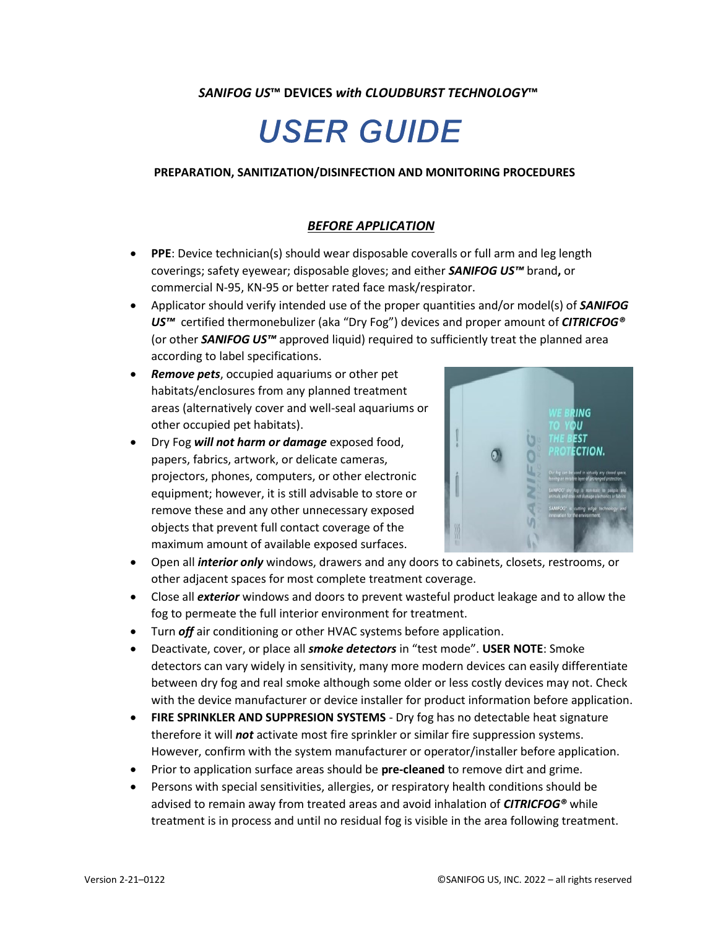# *SANIFOG US***™ DEVICES** *with CLOUDBURST TECHNOLOGY***™**

# **USER GUIDE**

#### **PREPARATION, SANITIZATION/DISINFECTION AND MONITORING PROCEDURES**

## *BEFORE APPLICATION*

- **PPE**: Device technician(s) should wear disposable coveralls or full arm and leg length coverings; safety eyewear; disposable gloves; and either *SANIFOG US™* brand**,** or commercial N-95, KN-95 or better rated face mask/respirator.
- Applicator should verify intended use of the proper quantities and/or model(s) of *SANIFOG US™* certified thermonebulizer (aka "Dry Fog") devices and proper amount of *CITRICFOG®* (or other *SANIFOG US™* approved liquid) required to sufficiently treat the planned area according to label specifications.
- *Remove pets*, occupied aquariums or other pet habitats/enclosures from any planned treatment areas (alternatively cover and well-seal aquariums or other occupied pet habitats).
- Dry Fog *will not harm or damage* exposed food, papers, fabrics, artwork, or delicate cameras, projectors, phones, computers, or other electronic equipment; however, it is still advisable to store or remove these and any other unnecessary exposed objects that prevent full contact coverage of the maximum amount of available exposed surfaces.



- Open all *interior only* windows, drawers and any doors to cabinets, closets, restrooms, or other adjacent spaces for most complete treatment coverage.
- Close all *exterior* windows and doors to prevent wasteful product leakage and to allow the fog to permeate the full interior environment for treatment.
- Turn *off* air conditioning or other HVAC systems before application.
- Deactivate, cover, or place all *smoke detectors* in "test mode". **USER NOTE**: Smoke detectors can vary widely in sensitivity, many more modern devices can easily differentiate between dry fog and real smoke although some older or less costly devices may not. Check with the device manufacturer or device installer for product information before application.
- **FIRE SPRINKLER AND SUPPRESION SYSTEMS** Dry fog has no detectable heat signature therefore it will *not* activate most fire sprinkler or similar fire suppression systems. However, confirm with the system manufacturer or operator/installer before application.
- Prior to application surface areas should be **pre-cleaned** to remove dirt and grime.
- Persons with special sensitivities, allergies, or respiratory health conditions should be advised to remain away from treated areas and avoid inhalation of *CITRICFOG®* while treatment is in process and until no residual fog is visible in the area following treatment.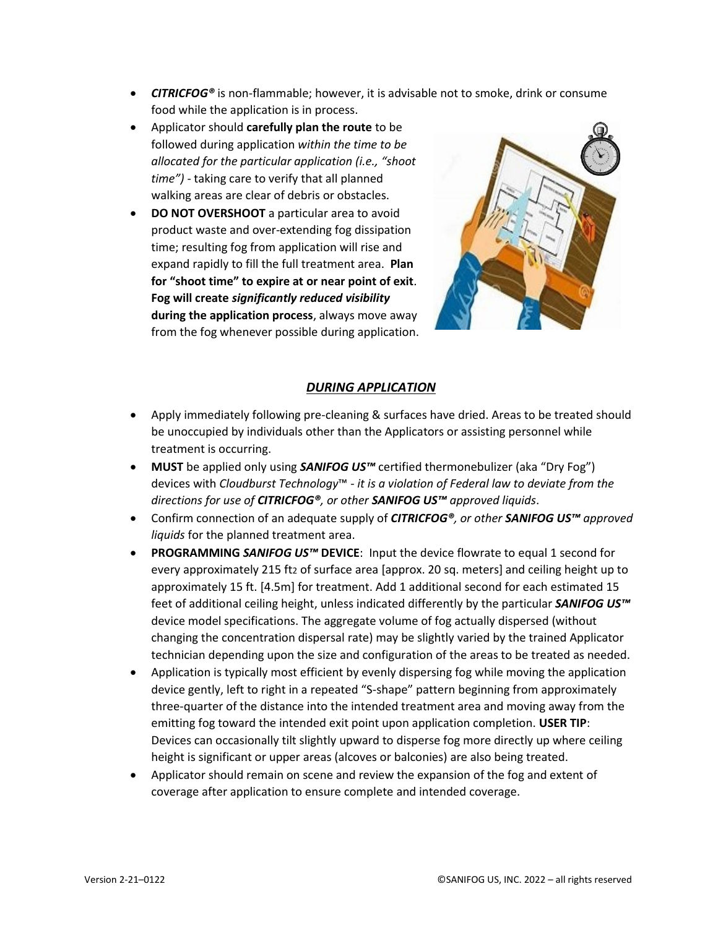- *CITRICFOG®* is non-flammable; however, it is advisable not to smoke, drink or consume food while the application is in process.
- Applicator should **carefully plan the route** to be followed during application *within the time to be allocated for the particular application (i.e., "shoot time")* - taking care to verify that all planned walking areas are clear of debris or obstacles.
- **DO NOT OVERSHOOT** a particular area to avoid product waste and over-extending fog dissipation time; resulting fog from application will rise and expand rapidly to fill the full treatment area. **Plan for "shoot time" to expire at or near point of exit**. **Fog will create** *significantly reduced visibility* **during the application process**, always move away from the fog whenever possible during application.



#### *DURING APPLICATION*

- Apply immediately following pre-cleaning & surfaces have dried. Areas to be treated should be unoccupied by individuals other than the Applicators or assisting personnel while treatment is occurring.
- **MUST** be applied only using *SANIFOG US™* certified thermonebulizer (aka "Dry Fog") devices with *Cloudburst Technology*™ - *it is a violation of Federal law to deviate from the directions for use of CITRICFOG®, or other SANIFOG US™ approved liquids*.
- Confirm connection of an adequate supply of *CITRICFOG®, or other SANIFOG US™ approved liquids* for the planned treatment area.
- **PROGRAMMING** *SANIFOG US™* **DEVICE**: Input the device flowrate to equal 1 second for every approximately 215 ft2 of surface area [approx. 20 sq. meters] and ceiling height up to approximately 15 ft. [4.5m] for treatment. Add 1 additional second for each estimated 15 feet of additional ceiling height, unless indicated differently by the particular *SANIFOG US™* device model specifications. The aggregate volume of fog actually dispersed (without changing the concentration dispersal rate) may be slightly varied by the trained Applicator technician depending upon the size and configuration of the areas to be treated as needed.
- Application is typically most efficient by evenly dispersing fog while moving the application device gently, left to right in a repeated "S-shape" pattern beginning from approximately three-quarter of the distance into the intended treatment area and moving away from the emitting fog toward the intended exit point upon application completion. **USER TIP**: Devices can occasionally tilt slightly upward to disperse fog more directly up where ceiling height is significant or upper areas (alcoves or balconies) are also being treated.
- Applicator should remain on scene and review the expansion of the fog and extent of coverage after application to ensure complete and intended coverage.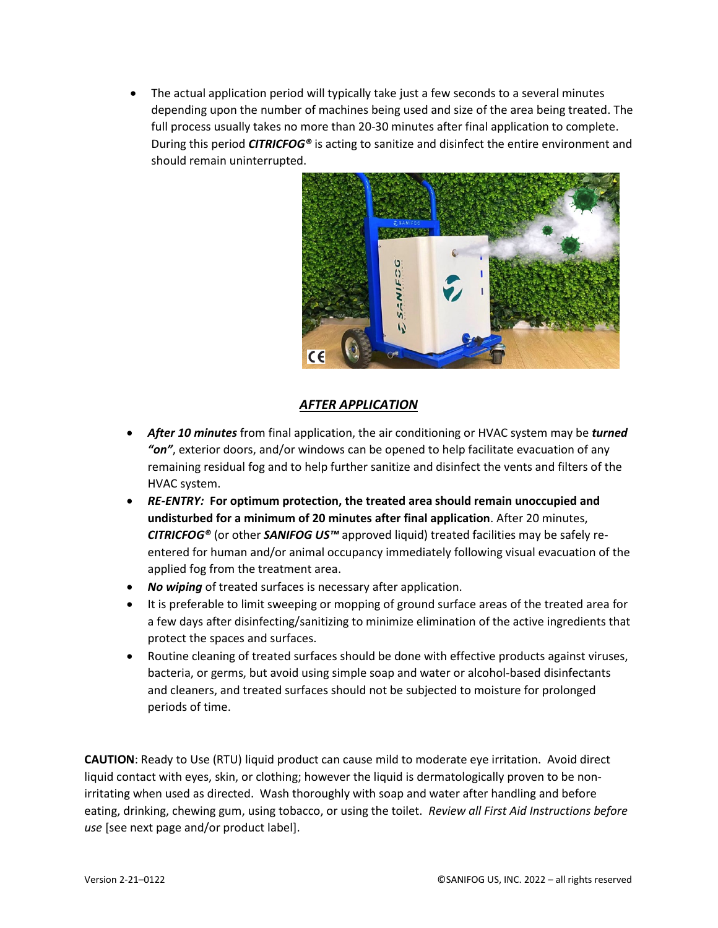The actual application period will typically take just a few seconds to a several minutes depending upon the number of machines being used and size of the area being treated. The full process usually takes no more than 20-30 minutes after final application to complete. During this period *CITRICFOG®* is acting to sanitize and disinfect the entire environment and should remain uninterrupted.



### *AFTER APPLICATION*

- *After 10 minutes* from final application, the air conditioning or HVAC system may be *turned "on"*, exterior doors, and/or windows can be opened to help facilitate evacuation of any remaining residual fog and to help further sanitize and disinfect the vents and filters of the HVAC system.
- *RE-ENTRY:* **For optimum protection, the treated area should remain unoccupied and undisturbed for a minimum of 20 minutes after final application**. After 20 minutes, *CITRICFOG®* (or other *SANIFOG US™* approved liquid) treated facilities may be safely reentered for human and/or animal occupancy immediately following visual evacuation of the applied fog from the treatment area.
- *No wiping* of treated surfaces is necessary after application.
- It is preferable to limit sweeping or mopping of ground surface areas of the treated area for a few days after disinfecting/sanitizing to minimize elimination of the active ingredients that protect the spaces and surfaces.
- Routine cleaning of treated surfaces should be done with effective products against viruses, bacteria, or germs, but avoid using simple soap and water or alcohol-based disinfectants and cleaners, and treated surfaces should not be subjected to moisture for prolonged periods of time.

**CAUTION**: Ready to Use (RTU) liquid product can cause mild to moderate eye irritation. Avoid direct liquid contact with eyes, skin, or clothing; however the liquid is dermatologically proven to be nonirritating when used as directed. Wash thoroughly with soap and water after handling and before eating, drinking, chewing gum, using tobacco, or using the toilet. *Review all First Aid Instructions before use* [see next page and/or product label].